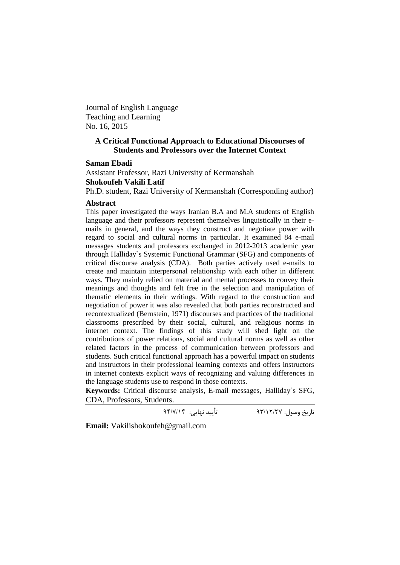Journal of English Language Teaching and Learning No. 16, 2015

## **A Critical Functional Approach to Educational Discourses of Students and Professors over the Internet Context**

#### **Saman Ebadi**

Assistant Professor, Razi University of Kermanshah **Shokoufeh Vakili Latif** 

Ph.D. student, Razi University of Kermanshah (Corresponding author)

#### **Abstract**

This paper investigated the ways Iranian B.A and M.A students of English language and their professors represent themselves linguistically in their emails in general, and the ways they construct and negotiate power with regard to social and cultural norms in particular. It examined 84 e-mail messages students and professors exchanged in 2012-2013 academic year through Halliday`s Systemic Functional Grammar (SFG) and components of critical discourse analysis (CDA). Both parties actively used e-mails to create and maintain interpersonal relationship with each other in different ways. They mainly relied on material and mental processes to convey their meanings and thoughts and felt free in the selection and manipulation of thematic elements in their writings. With regard to the construction and negotiation of power it was also revealed that both parties reconstructed and recontextualized (Bernstein, 1971) discourses and practices of the traditional classrooms prescribed by their social, cultural, and religious norms in internet context. The findings of this study will shed light on the contributions of power relations, social and cultural norms as well as other related factors in the process of communication between professors and students. Such critical functional approach has a powerful impact on students and instructors in their professional learning contexts and offers instructors in internet contexts explicit ways of recognizing and valuing differences in the language students use to respond in those contexts.

**Keywords:** Critical discourse analysis, E-mail messages, Halliday`s SFG, CDA, Professors, Students.

تاریخ وصول: 93/12/27 تأیید نهایی: 94/7/14

**Email:** [Vakilishokoufeh@gmail.com](mailto:Vakilishokoufeh@gmail.com)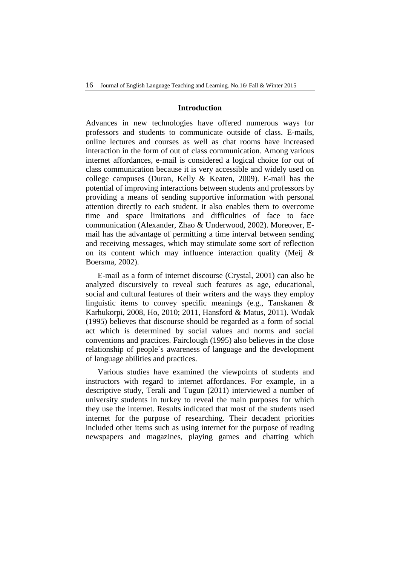### **Introduction**

Advances in new technologies have offered numerous ways for professors and students to communicate outside of class. E-mails, online lectures and courses as well as chat rooms have increased interaction in the form of out of class communication. Among various internet affordances, e-mail is considered a logical choice for out of class communication because it is very accessible and widely used on college campuses (Duran, Kelly & Keaten, 2009). E-mail has the potential of improving interactions between students and professors by providing a means of sending supportive information with personal attention directly to each student. It also enables them to overcome time and space limitations and difficulties of face to face communication (Alexander, Zhao & Underwood, 2002). Moreover, Email has the advantage of permitting a time interval between sending and receiving messages, which may stimulate some sort of reflection on its content which may influence interaction quality (Meij & Boersma, 2002).

E-mail as a form of internet discourse (Crystal, 2001) can also be analyzed discursively to reveal such features as age, educational, social and cultural features of their writers and the ways they employ linguistic items to convey specific meanings (e.g., Tanskanen & Karhukorpi, 2008, Ho, 2010; 2011, Hansford & Matus, 2011). Wodak (1995) believes that discourse should be regarded as a form of social act which is determined by social values and norms and social conventions and practices. Fairclough (1995) also believes in the close relationship of people`s awareness of language and the development of language abilities and practices.

Various studies have examined the viewpoints of students and instructors with regard to internet affordances. For example, in a descriptive study, Terali and Tugun (2011) interviewed a number of university students in turkey to reveal the main purposes for which they use the internet. Results indicated that most of the students used internet for the purpose of researching. Their decadent priorities included other items such as using internet for the purpose of reading newspapers and magazines, playing games and chatting which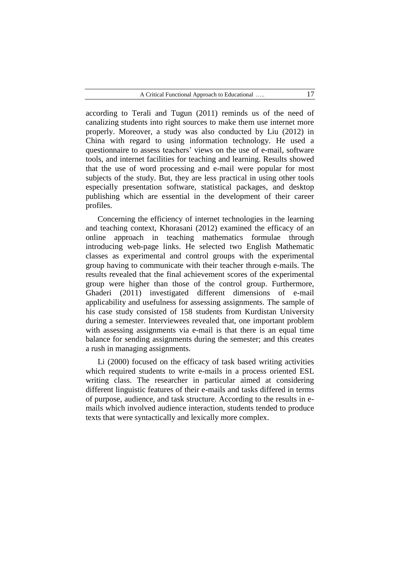according to Terali and Tugun (2011) reminds us of the need of canalizing students into right sources to make them use internet more properly. Moreover, a study was also conducted by Liu (2012) in China with regard to using information technology. He used a questionnaire to assess teachers' views on the use of e-mail, software tools, and internet facilities for teaching and learning. Results showed that the use of word processing and e-mail were popular for most subjects of the study. But, they are less practical in using other tools especially presentation software, statistical packages, and desktop publishing which are essential in the development of their career profiles.

Concerning the efficiency of internet technologies in the learning and teaching context, Khorasani (2012) examined the efficacy of an online approach in teaching mathematics formulae through introducing web-page links. He selected two English Mathematic classes as experimental and control groups with the experimental group having to communicate with their teacher through e-mails. The results revealed that the final achievement scores of the experimental group were higher than those of the control group. Furthermore, Ghaderi (2011) investigated different dimensions of e-mail applicability and usefulness for assessing assignments. The sample of his case study consisted of 158 students from Kurdistan University during a semester. Interviewees revealed that, one important problem with assessing assignments via e-mail is that there is an equal time balance for sending assignments during the semester; and this creates a rush in managing assignments.

Li (2000) focused on the efficacy of task based writing activities which required students to write e-mails in a process oriented ESL writing class. The researcher in particular aimed at considering different linguistic features of their e-mails and tasks differed in terms of purpose, audience, and task structure. According to the results in emails which involved audience interaction, students tended to produce texts that were syntactically and lexically more complex.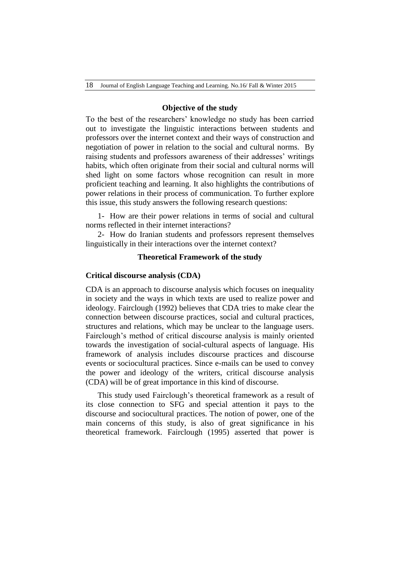### **Objective of the study**

To the best of the researchers' knowledge no study has been carried out to investigate the linguistic interactions between students and professors over the internet context and their ways of construction and negotiation of power in relation to the social and cultural norms. By raising students and professors awareness of their addresses' writings habits, which often originate from their social and cultural norms will shed light on some factors whose recognition can result in more proficient teaching and learning. It also highlights the contributions of power relations in their process of communication. To further explore this issue, this study answers the following research questions:

1- How are their power relations in terms of social and cultural norms reflected in their internet interactions?

2- How do Iranian students and professors represent themselves linguistically in their interactions over the internet context?

### **Theoretical Framework of the study**

### **Critical discourse analysis (CDA)**

CDA is an approach to discourse analysis which focuses on inequality in society and the ways in which texts are used to realize power and ideology. Fairclough (1992) believes that CDA tries to make clear the connection between discourse practices, social and cultural practices, structures and relations, which may be unclear to the language users. Fairclough's method of critical discourse analysis is mainly oriented towards the investigation of social-cultural aspects of language. His framework of analysis includes discourse practices and discourse events or sociocultural practices. Since e-mails can be used to convey the power and ideology of the writers, critical discourse analysis (CDA) will be of great importance in this kind of discourse.

This study used Fairclough's theoretical framework as a result of its close connection to SFG and special attention it pays to the discourse and sociocultural practices. The notion of power, one of the main concerns of this study, is also of great significance in his theoretical framework. Fairclough (1995) asserted that power is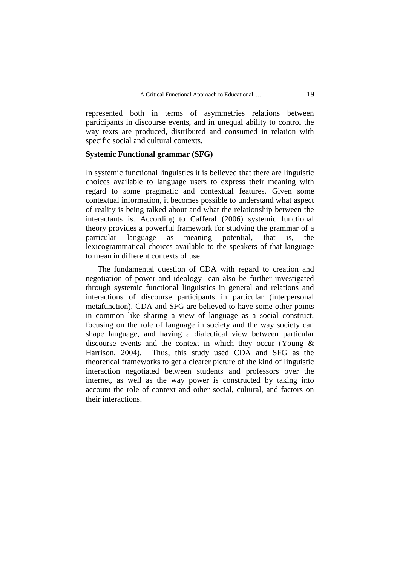represented both in terms of asymmetries relations between participants in discourse events, and in unequal ability to control the way texts are produced, distributed and consumed in relation with specific social and cultural contexts.

### **Systemic Functional grammar (SFG)**

In systemic functional linguistics it is believed that there are linguistic choices available to language users to express their meaning with regard to some pragmatic and contextual features. Given some contextual information, it becomes possible to understand what aspect of reality is being talked about and what the relationship between the interactants is. According to Cafferal (2006) systemic functional theory provides a powerful framework for studying the grammar of a particular language as meaning potential, that is, the lexicogrammatical choices available to the speakers of that language to mean in different contexts of use.

The fundamental question of CDA with regard to creation and negotiation of power and ideology can also be further investigated through systemic functional linguistics in general and relations and interactions of discourse participants in particular (interpersonal metafunction). CDA and SFG are believed to have some other points in common like sharing a view of language as a social construct, focusing on the role of language in society and the way society can shape language, and having a dialectical view between particular discourse events and the context in which they occur (Young & Harrison, 2004). Thus, this study used CDA and SFG as the theoretical frameworks to get a clearer picture of the kind of linguistic interaction negotiated between students and professors over the internet, as well as the way power is constructed by taking into account the role of context and other social, cultural, and factors on their interactions.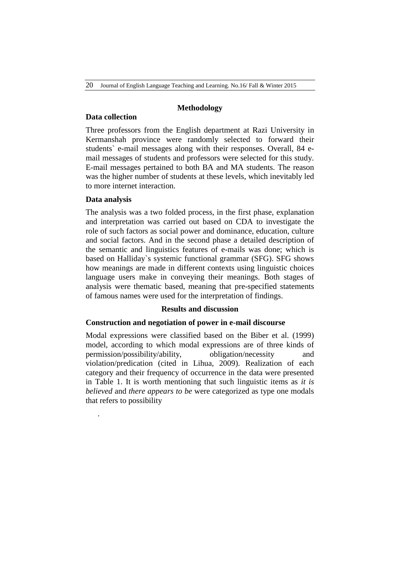20 Journal of English Language Teaching and Learning. No.16/ Fall & Winter 2015

### **Methodology**

## **Data collection**

Three professors from the English department at Razi University in Kermanshah province were randomly selected to forward their students` e-mail messages along with their responses. Overall, 84 email messages of students and professors were selected for this study. E-mail messages pertained to both BA and MA students. The reason was the higher number of students at these levels, which inevitably led to more internet interaction.

## **Data analysis**

.

The analysis was a two folded process, in the first phase, explanation and interpretation was carried out based on CDA to investigate the role of such factors as social power and dominance, education, culture and social factors. And in the second phase a detailed description of the semantic and linguistics features of e-mails was done; which is based on Halliday`s systemic functional grammar (SFG). SFG shows how meanings are made in different contexts using linguistic choices language users make in conveying their meanings. Both stages of analysis were thematic based, meaning that pre-specified statements of famous names were used for the interpretation of findings.

# **Results and discussion**

# **Construction and negotiation of power in e-mail discourse**

Modal expressions were classified based on the Biber et al. (1999) model, according to which modal expressions are of three kinds of permission/possibility/ability, obligation/necessity and violation/predication (cited in Lihua, 2009). Realization of each category and their frequency of occurrence in the data were presented in Table 1. It is worth mentioning that such linguistic items as *it is believed* and *there appears to be* were categorized as type one modals that refers to possibility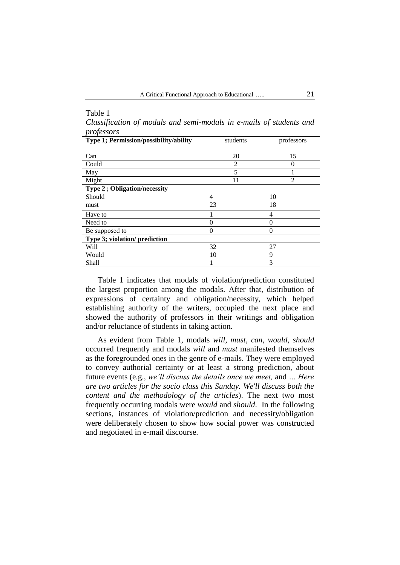| Table 1                                                             |          |                |
|---------------------------------------------------------------------|----------|----------------|
| Classification of modals and semi-modals in e-mails of students and |          |                |
| professors                                                          |          |                |
| Type 1; Permission/possibility/ability                              | students | professors     |
|                                                                     |          |                |
| Can                                                                 | 20       | 15             |
| Could                                                               | 2        | $\Omega$       |
| May                                                                 | 5        |                |
| Might                                                               | 11       | $\mathfrak{D}$ |
| <b>Type 2; Obligation/necessity</b>                                 |          |                |
| Should                                                              | 4        | 10             |
| must                                                                | 23       | 18             |
| Have to                                                             |          | $\overline{4}$ |
| Need to                                                             | $\theta$ | $\Omega$       |
| Be supposed to                                                      | $\theta$ | $\theta$       |
| Type 3; violation/ prediction                                       |          |                |
| Will                                                                | 32       | 27             |
| Would                                                               | 10       | 9              |
| Shall                                                               |          | 3              |

Table 1 indicates that modals of violation/prediction constituted the largest proportion among the modals. After that, distribution of expressions of certainty and obligation/necessity, which helped establishing authority of the writers, occupied the next place and showed the authority of professors in their writings and obligation and/or reluctance of students in taking action.

As evident from Table 1, modals *will*, *must*, *can*, *would*, *should* occurred frequently and modals *will* and *must* manifested themselves as the foregrounded ones in the genre of e-mails. They were employed to convey authorial certainty or at least a strong prediction, about future events (e.g., *we'll discuss the details once we meet,* and *… Here are two articles for the socio class this Sunday. We'll discuss both the content and the methodology of the articles*). The next two most frequently occurring modals were *would* and *should*. In the following sections, instances of violation/prediction and necessity/obligation were deliberately chosen to show how social power was constructed and negotiated in e-mail discourse.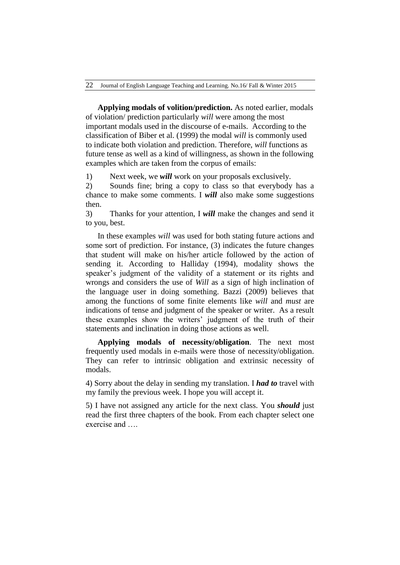**Applying modals of volition/prediction.** As noted earlier, modals of violation/ prediction particularly *will* were among the most important modals used in the discourse of e-mails. According to the classification of Biber et al. (1999) the modal *will* is commonly used to indicate both violation and prediction. Therefore, *will* functions as future tense as well as a kind of willingness, as shown in the following examples which are taken from the corpus of emails:

1) Next week, we *will* work on your proposals exclusively.

2) Sounds fine; bring a copy to class so that everybody has a chance to make some comments. I *will* also make some suggestions then.

3) Thanks for your attention, I *will* make the changes and send it to you, best.

In these examples *will* was used for both stating future actions and some sort of prediction. For instance, (3) indicates the future changes that student will make on his/her article followed by the action of sending it. According to Halliday (1994), modality shows the speaker's judgment of the validity of a statement or its rights and wrongs and considers the use of *Will* as a sign of high inclination of the language user in doing something. Bazzi (2009) believes that among the functions of some finite elements like *will* and *must* are indications of tense and judgment of the speaker or writer. As a result these examples show the writers' judgment of the truth of their statements and inclination in doing those actions as well.

**Applying modals of necessity/obligation**. The next most frequently used modals in e-mails were those of necessity/obligation. They can refer to intrinsic obligation and extrinsic necessity of modals.

4) Sorry about the delay in sending my translation. I *had to* travel with my family the previous week. I hope you will accept it.

5) I have not assigned any article for the next class. You *should* just read the first three chapters of the book. From each chapter select one exercise and ….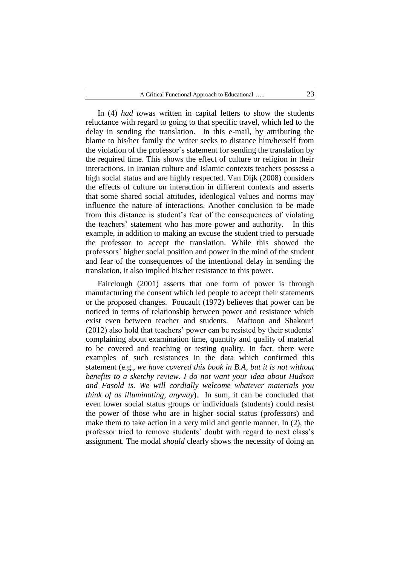In (4) *had to*was written in capital letters to show the students reluctance with regard to going to that specific travel, which led to the delay in sending the translation. In this e-mail, by attributing the blame to his/her family the writer seeks to distance him/herself from the violation of the professor`s statement for sending the translation by the required time. This shows the effect of culture or religion in their interactions. In Iranian culture and Islamic contexts teachers possess a high social status and are highly respected. Van Dijk (2008) considers the effects of culture on interaction in different contexts and asserts that some shared social attitudes, ideological values and norms may influence the nature of interactions. Another conclusion to be made from this distance is student's fear of the consequences of violating the teachers' statement who has more power and authority. In this example, in addition to making an excuse the student tried to persuade the professor to accept the translation. While this showed the professors` higher social position and power in the mind of the student and fear of the consequences of the intentional delay in sending the translation, it also implied his/her resistance to this power.

Fairclough (2001) asserts that one form of power is through manufacturing the consent which led people to accept their statements or the proposed changes. Foucault (1972) believes that power can be noticed in terms of relationship between power and resistance which exist even between teacher and students. Maftoon and Shakouri (2012) also hold that teachers' power can be resisted by their students' complaining about examination time, quantity and quality of material to be covered and teaching or testing quality. In fact, there were examples of such resistances in the data which confirmed this statement (e.g., *we have covered this book in B.A, but it is not without benefits to a sketchy review. I do not want your idea about Hudson and Fasold is. We will cordially welcome whatever materials you think of as illuminating, anyway*). In sum, it can be concluded that even lower social status groups or individuals (students) could resist the power of those who are in higher social status (professors) and make them to take action in a very mild and gentle manner. In (2), the professor tried to remove students` doubt with regard to next class's assignment. The modal *should* clearly shows the necessity of doing an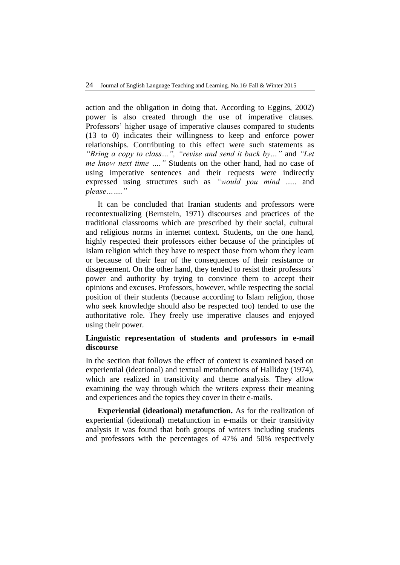action and the obligation in doing that. According to Eggins, 2002) power is also created through the use of imperative clauses. Professors' higher usage of imperative clauses compared to students (13 to 0) indicates their willingness to keep and enforce power relationships. Contributing to this effect were such statements as *"Bring a copy to class…", "revise and send it back by…"* and *"Let me know next time …."* Students on the other hand, had no case of using imperative sentences and their requests were indirectly expressed using structures such as *"would you mind …..* and *please……."*

It can be concluded that Iranian students and professors were recontextualizing (Bernstein, 1971) discourses and practices of the traditional classrooms which are prescribed by their social, cultural and religious norms in internet context. Students, on the one hand, highly respected their professors either because of the principles of Islam religion which they have to respect those from whom they learn or because of their fear of the consequences of their resistance or disagreement. On the other hand, they tended to resist their professors` power and authority by trying to convince them to accept their opinions and excuses. Professors, however, while respecting the social position of their students (because according to Islam religion, those who seek knowledge should also be respected too) tended to use the authoritative role. They freely use imperative clauses and enjoyed using their power.

# **Linguistic representation of students and professors in e-mail discourse**

In the section that follows the effect of context is examined based on experiential (ideational) and textual metafunctions of Halliday (1974), which are realized in transitivity and theme analysis. They allow examining the way through which the writers express their meaning and experiences and the topics they cover in their e-mails.

**Experiential (ideational) metafunction.** As for the realization of experiential (ideational) metafunction in e-mails or their transitivity analysis it was found that both groups of writers including students and professors with the percentages of 47% and 50% respectively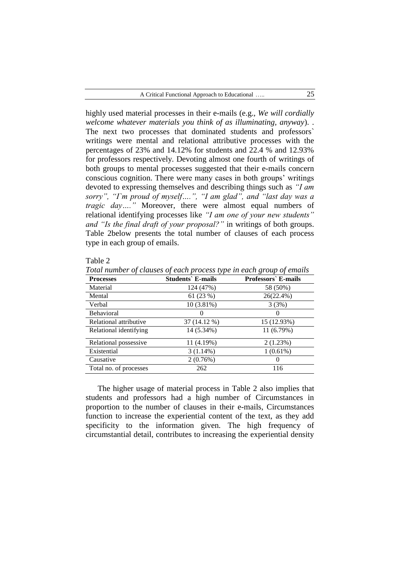highly used material processes in their e-mails (e.g., *We will cordially welcome whatever materials you think of as illuminating, anyway*). . The next two processes that dominated students and professors` writings were mental and relational attributive processes with the percentages of 23% and 14.12% for students and 22.4 % and 12.93% for professors respectively. Devoting almost one fourth of writings of both groups to mental processes suggested that their e-mails concern conscious cognition. There were many cases in both groups' writings devoted to expressing themselves and describing things such as *"I am sorry", "I`m proud of myself….", "I am glad", and "last day was a tragic day…."* Moreover, there were almost equal numbers of relational identifying processes like *"I am one of your new students" and "Is the final draft of your proposal?"* in writings of both groups. Table 2below presents the total number of clauses of each process type in each group of emails.

| 'able |  |
|-------|--|
|-------|--|

*Total number of clauses of each process type in each group of emails*

| <b>Processes</b>       | <b>Students</b> E-mails | <b>Professors</b> E-mails |
|------------------------|-------------------------|---------------------------|
| Material               | 124 (47%)               | 58 (50%)                  |
| Mental                 | 61 (23 %)               | 26(22.4%)                 |
| Verbal                 | $10(3.81\%)$            | 3(3%)                     |
| <b>Behavioral</b>      | $_{0}$                  |                           |
| Relational attributive | 37 (14.12 %)            | 15 (12.93%)               |
| Relational identifying | 14 (5.34%)              | 11 (6.79%)                |
| Relational possessive  | 11 (4.19%)              | 2(1.23%)                  |
| Existential            | $3(1.14\%)$             | $1(0.61\%)$               |
| Causative              | 2(0.76%)                |                           |
| Total no. of processes | 262                     | 116                       |

The higher usage of material process in Table 2 also implies that students and professors had a high number of Circumstances in proportion to the number of clauses in their e-mails, Circumstances function to increase the experiential content of the text, as they add specificity to the information given. The high frequency of circumstantial detail, contributes to increasing the experiential density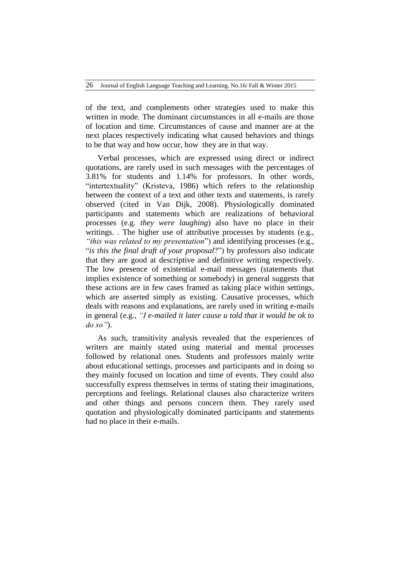of the text, and complements other strategies used to make this written in mode. The dominant circumstances in all e-mails are those of location and time. Circumstances of cause and manner are at the next places respectively indicating what caused behaviors and things to be that way and how occur, how they are in that way.

Verbal processes, which are expressed using direct or indirect quotations, are rarely used in such messages with the percentages of 3.81% for students and 1.14% for professors. In other words, "intertextuality" (Kristeva, 1986) which refers to the relationship between the context of a text and other texts and statements, is rarely observed (cited in Van Dijk, 2008). Physiologically dominated participants and statements which are realizations of behavioral processes (e.g. *they were laughing*) also have no place in their writings. . The higher use of attributive processes by students (e.g., *"this was related to my presentation*") and identifying processes (e.g., "*is this the final draft of your proposal*?") by professors also indicate that they are good at descriptive and definitive writing respectively. The low presence of existential e-mail messages (statements that implies existence of something or somebody) in general suggests that these actions are in few cases framed as taking place within settings, which are asserted simply as existing. Causative processes, which deals with reasons and explanations, are rarely used in writing e-mails in general (e.g., *"I e-mailed it later cause u told that it would be ok to do so"*).

As such, transitivity analysis revealed that the experiences of writers are mainly stated using material and mental processes followed by relational ones. Students and professors mainly write about educational settings, processes and participants and in doing so they mainly focused on location and time of events. They could also successfully express themselves in terms of stating their imaginations, perceptions and feelings. Relational clauses also characterize writers and other things and persons concern them. They rarely used quotation and physiologically dominated participants and statements had no place in their e-mails.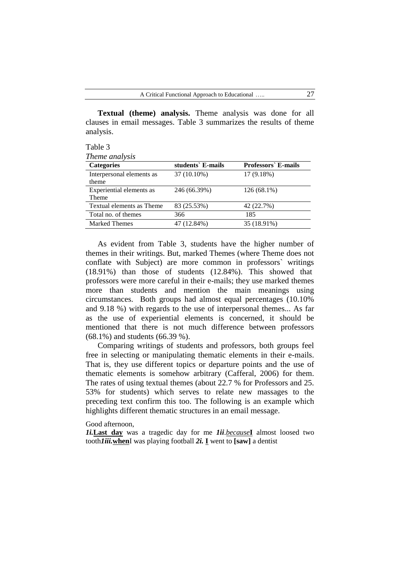**Textual (theme) analysis.** Theme analysis was done for all clauses in email messages. Table 3 summarizes the results of theme analysis.

Table 3 *Theme analysis*

| Theme and you             |                   |                           |  |  |
|---------------------------|-------------------|---------------------------|--|--|
| <b>Categories</b>         | students` E-mails | <b>Professors</b> E-mails |  |  |
| Interpersonal elements as | 37 (10.10%)       | 17(9.18%)                 |  |  |
| theme                     |                   |                           |  |  |
| Experiential elements as  | 246 (66.39%)      | 126 (68.1%)               |  |  |
| Theme                     |                   |                           |  |  |
| Textual elements as Theme | 83 (25.53%)       | 42 (22.7%)                |  |  |
| Total no. of themes       | 366               | 185                       |  |  |
| <b>Marked Themes</b>      | 47 (12.84%)       | 35 (18.91%)               |  |  |

As evident from Table 3, students have the higher number of themes in their writings. But, marked Themes (where Theme does not conflate with Subject) are more common in professors` writings (18.91%) than those of students (12.84%). This showed that professors were more careful in their e-mails; they use marked themes more than students and mention the main meanings using circumstances. Both groups had almost equal percentages (10.10% and 9.18 %) with regards to the use of interpersonal themes... As far as the use of experiential elements is concerned, it should be mentioned that there is not much difference between professors (68.1%) and students (66.39 %).

Comparing writings of students and professors, both groups feel free in selecting or manipulating thematic elements in their e-mails. That is, they use different topics or departure points and the use of thematic elements is somehow arbitrary (Cafferal, 2006) for them. The rates of using textual themes (about 22.7 % for Professors and 25. 53% for students) which serves to relate new massages to the preceding text confirm this too. The following is an example which highlights different thematic structures in an email message.

### Good afternoon,

*1i.***Last day** was a tragedic day for me *1ii*.*because***I** almost loosed two tooth*1iii.***when**I was playing football *2i.* **I** went to **[saw]** a dentist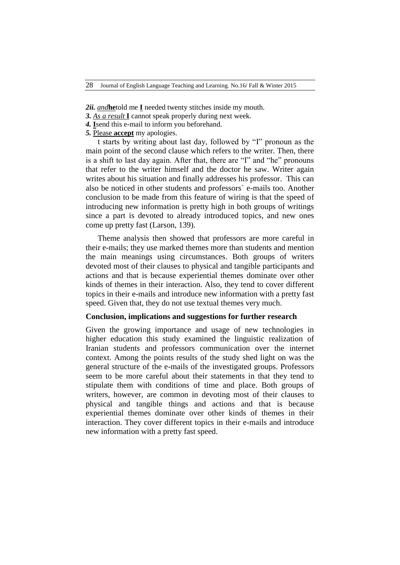*2ii. and***he**told me **I** needed twenty stitches inside my mouth.

- *3. As a result* **I** cannot speak properly during next week.
- *4.* **I**send this e-mail to inform you beforehand.
- *5.* Please **accept** my apologies.

t starts by writing about last day, followed by "I" pronoun as the main point of the second clause which refers to the writer. Then, there is a shift to last day again. After that, there are "I" and "he" pronouns that refer to the writer himself and the doctor he saw. Writer again writes about his situation and finally addresses his professor. This can also be noticed in other students and professors` e-mails too. Another conclusion to be made from this feature of wiring is that the speed of introducing new information is pretty high in both groups of writings since a part is devoted to already introduced topics, and new ones come up pretty fast (Larson, 139).

Theme analysis then showed that professors are more careful in their e-mails; they use marked themes more than students and mention the main meanings using circumstances. Both groups of writers devoted most of their clauses to physical and tangible participants and actions and that is because experiential themes dominate over other kinds of themes in their interaction. Also, they tend to cover different topics in their e-mails and introduce new information with a pretty fast speed. Given that, they do not use textual themes very much.

### **Conclusion, implications and suggestions for further research**

Given the growing importance and usage of new technologies in higher education this study examined the linguistic realization of Iranian students and professors communication over the internet context. Among the points results of the study shed light on was the general structure of the e-mails of the investigated groups. Professors seem to be more careful about their statements in that they tend to stipulate them with conditions of time and place. Both groups of writers, however, are common in devoting most of their clauses to physical and tangible things and actions and that is because experiential themes dominate over other kinds of themes in their interaction. They cover different topics in their e-mails and introduce new information with a pretty fast speed.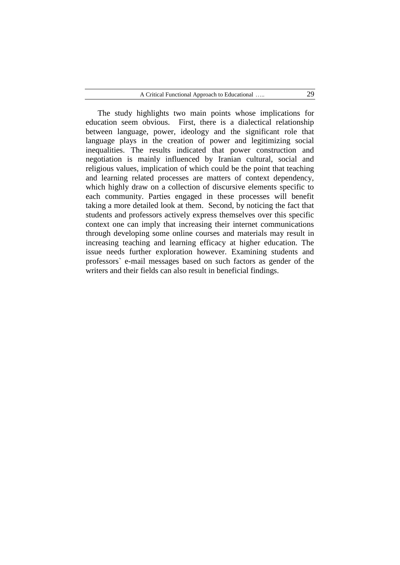The study highlights two main points whose implications for education seem obvious. First, there is a dialectical relationship between language, power, ideology and the significant role that language plays in the creation of power and legitimizing social inequalities. The results indicated that power construction and negotiation is mainly influenced by Iranian cultural, social and religious values, implication of which could be the point that teaching and learning related processes are matters of context dependency, which highly draw on a collection of discursive elements specific to each community. Parties engaged in these processes will benefit taking a more detailed look at them. Second, by noticing the fact that students and professors actively express themselves over this specific context one can imply that increasing their internet communications through developing some online courses and materials may result in increasing teaching and learning efficacy at higher education. The issue needs further exploration however. Examining students and professors` e-mail messages based on such factors as gender of the writers and their fields can also result in beneficial findings.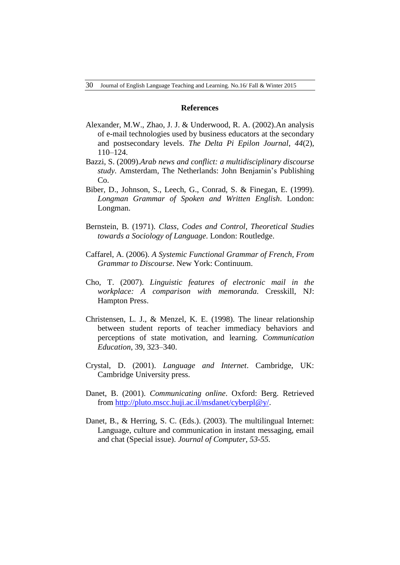### **References**

- Alexander, M.W., Zhao, J. J. & Underwood, R. A. (2002).An analysis of e-mail technologies used by business educators at the secondary and postsecondary levels. *The Delta Pi Epilon Journal*, *44*(2), 110–124.
- Bazzi, S. (2009).*Arab news and conflict: a multidisciplinary discourse study*. Amsterdam, The Netherlands: John Benjamin's Publishing Co.
- Biber, D., Johnson, S., Leech, G., Conrad, S. & Finegan, E. (1999). *Longman Grammar of Spoken and Written English*. London: Longman.
- Bernstein, B. (1971). *Class, Codes and Control*, *Theoretical Studies towards a Sociology of Language*. London: Routledge.
- Caffarel, A. (2006). *A Systemic Functional Grammar of French, From Grammar to Discourse*. New York: Continuum.
- Cho, T. (2007). *Linguistic features of electronic mail in the workplace: A comparison with memoranda*. Cresskill, NJ: Hampton Press.
- Christensen, L. J., & Menzel, K. E. (1998). The linear relationship between student reports of teacher immediacy behaviors and perceptions of state motivation, and learning. *Communication Education*, 39, 323–340.
- Crystal, D. (2001). *Language and Internet*. Cambridge, UK: Cambridge University press.
- Danet, B. (2001). *Communicating online*. Oxford: Berg. Retrieved from [http://pluto.mscc.huji.ac.il/msdanet/cyberpl@y/.](http://pluto.mscc.huji.ac.il/msdanet/cyberpl@y/)
- Danet, B., & Herring, S. C. (Eds.). (2003). The multilingual Internet: Language, culture and communication in instant messaging, email and chat (Special issue). *Journal of Computer, 53-55.*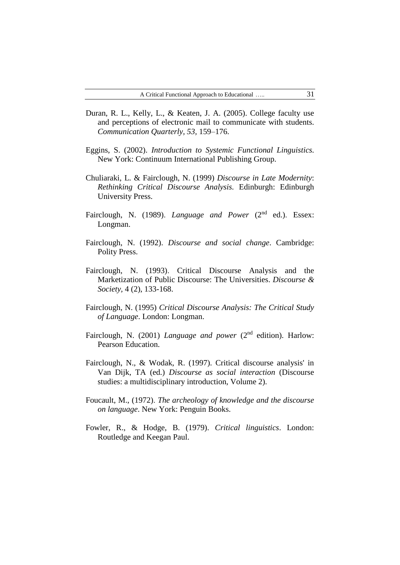- Duran, R. L., Kelly, L., & Keaten, J. A. (2005). College faculty use and perceptions of electronic mail to communicate with students. *Communication Quarterly, 53,* 159–176.
- Eggins, S. (2002). *Introduction to Systemic Functional Linguistics.* New York: Continuum International Publishing Group.
- Chuliaraki, L. & Fairclough, N. (1999) *Discourse in Late Modernity*: *Rethinking Critical Discourse Analysis.* Edinburgh: Edinburgh University Press.
- Fairclough, N. (1989). *Language and Power* (2<sup>nd</sup> ed.). Essex: Longman.
- Fairclough, N. (1992). *Discourse and social change*. Cambridge: Polity Press.
- Fairclough, N. (1993). Critical Discourse Analysis and the Marketization of Public Discourse: The Universities. *Discourse & Society,* 4 (2), 133-168.
- Fairclough, N. (1995) *Critical Discourse Analysis: The Critical Study of Language*. London: Longman.
- Fairclough, N. (2001) *Language and power* (2<sup>nd</sup> edition). Harlow: Pearson Education.
- Fairclough, N., & Wodak, R. (1997). Critical discourse analysis' in Van Dijk, TA (ed.) *Discourse as social interaction* (Discourse studies: a multidisciplinary introduction, Volume 2).
- Foucault, M., (1972). *The archeology of knowledge and the discourse on language*. New York: Penguin Books.
- Fowler, R., & Hodge, B. (1979). *Critical linguistics*. London: Routledge and Keegan Paul.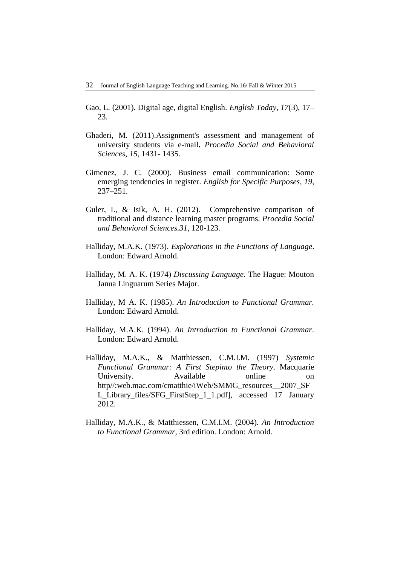- Gao, L. (2001). Digital age, digital English. *English Today*, *17*(3), 17– 23.
- Ghaderi, M. (2011).Assignment's assessment and management of university students via e-mail**.** *Procedia Social and Behavioral Sciences, 15,* 1431- 1435.
- Gimenez, J. C. (2000). Business email communication: Some emerging tendencies in register. *English for Specific Purposes, 19*, 237–251.
- Guler, I., & Isik, A. H. (2012). Comprehensive comparison of traditional and distance learning master programs. *Procedia Social and Behavioral Sciences.31*, 120-123.
- Halliday, M.A.K. (1973). *Explorations in the Functions of Language*. London: Edward Arnold.
- Halliday, M. A. K. (1974) *Discussing Language.* The Hague: Mouton Janua Linguarum Series Major.
- Halliday, M A. K. (1985). *An Introduction to Functional Grammar.* London: Edward Arnold.
- Halliday, M.A.K. (1994). *An Introduction to Functional Grammar*. London: Edward Arnold.
- Halliday, M.A.K., & Matthiessen, C.M.I.M. (1997) *Systemic Functional Grammar: A First Stepinto the Theory*. Macquarie University. Available online on http//:web.mac.com/cmatthie/iWeb/SMMG\_resources\_\_2007\_SF L\_Library\_files/SFG\_FirstStep\_1\_1.pdf], accessed 17 January 2012.
- Halliday, M.A.K., & Matthiessen, C.M.I.M. (2004). *An Introduction to Functional Grammar*, 3rd edition. London: Arnold.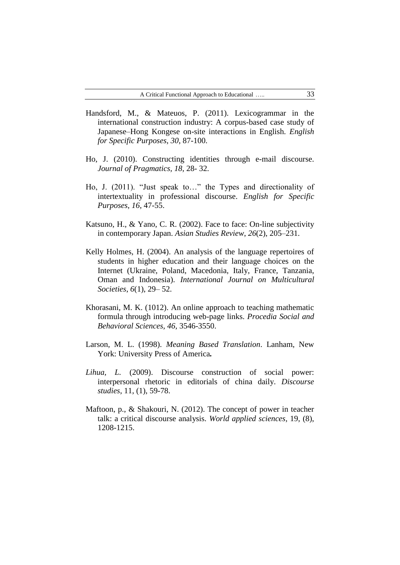- Handsford, M., & Mateuos, P. (2011). Lexicogrammar in the international construction industry: A corpus-based case study of Japanese–Hong Kongese on-site interactions in English. *English for Specific Purposes*, *30*, 87-100.
- Ho, J. (2010). Constructing identities through e-mail discourse. *Journal of Pragmatics, 18*, 28- 32.
- Ho, J. (2011). "Just speak to…" the Types and directionality of intertextuality in professional discourse. *English for Specific Purposes*, *16*, 47-55.
- Katsuno, H., & Yano, C. R. (2002). Face to face: On-line subjectivity in contemporary Japan. *Asian Studies Review*, *26*(2), 205–231.
- Kelly Holmes, H. (2004). An analysis of the language repertoires of students in higher education and their language choices on the Internet (Ukraine, Poland, Macedonia, Italy, France, Tanzania, Oman and Indonesia). *International Journal on Multicultural Societies*, *6*(1), 29– 52.
- Khorasani, M. K. (1012). An online approach to teaching mathematic formula through introducing web-page links. *Procedia Social and Behavioral Sciences, 46,* 3546-3550.
- Larson, M. L. (1998). *Meaning Based Translation*. Lanham, New York: University Press of America*.*
- *Lihua, L.* (2009). Discourse construction of social power: interpersonal rhetoric in editorials of china daily. *Discourse studies*, 11, (1), 59-78.
- Maftoon, p., & Shakouri, N. (2012). The concept of power in teacher talk: a critical discourse analysis. *World applied sciences,* 19, (8), 1208-1215.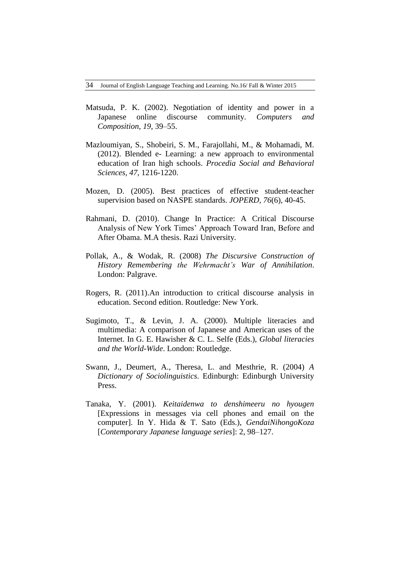- Matsuda, P. K. (2002). Negotiation of identity and power in a Japanese online discourse community. *Computers and Composition*, *19*, 39–55.
- Mazloumiyan, S., Shobeiri, S. M., Farajollahi, M., & Mohamadi, M. (2012). Blended e- Learning: a new approach to environmental education of Iran high schools. *Procedia Social and Behavioral Sciences, 47,* 1216-1220.
- Mozen, D. (2005). Best practices of effective student-teacher supervision based on NASPE standards. *JOPERD, 76*(6), 40-45.
- Rahmani, D. (2010). Change In Practice: A Critical Discourse Analysis of New York Times' Approach Toward Iran, Before and After Obama. M.A thesis. Razi University.
- Pollak, A., & Wodak, R. (2008) *The Discursive Construction of History Remembering the Wehrmacht's War of Annihilation*. London: Palgrave.
- Rogers, R. (2011).An introduction to critical discourse analysis in education. Second edition. Routledge: New York.
- Sugimoto, T., & Levin, J. A. (2000). Multiple literacies and multimedia: A comparison of Japanese and American uses of the Internet. In G. E. Hawisher & C. L. Selfe (Eds.), *Global literacies and the World-Wide*. London: Routledge.
- Swann, J., Deumert, A., Theresa, L. and Mesthrie, R. (2004) *A Dictionary of Sociolinguistics*. Edinburgh: Edinburgh University Press.
- Tanaka, Y. (2001). *Keitaidenwa to denshimeeru no hyougen* [Expressions in messages via cell phones and email on the computer]. In Y. Hida & T. Sato (Eds.), *GendaiNihongoKoza* [*Contemporary Japanese language series*]: 2, 98–127.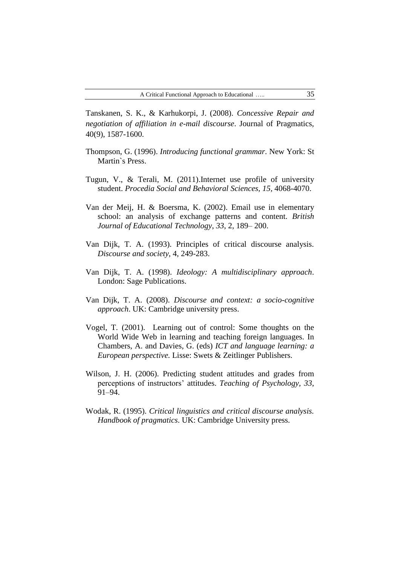Tanskanen, S. K., & Karhukorpi, J. (2008). *Concessive Repair and negotiation of affiliation in e-mail discourse*. Journal of Pragmatics, 40(9), 1587-1600.

- Thompson, G. (1996). *Introducing functional grammar*. New York: St Martin`s Press.
- Tugun, V., & Terali, M. (2011).Internet use profile of university student. *Procedia Social and Behavioral Sciences, 15,* 4068-4070.
- Van der Meij, H. & Boersma, K. (2002). Email use in elementary school: an analysis of exchange patterns and content. *British Journal of Educational Technology*, *33*, 2, 189– 200.
- Van Dijk, T. A. (1993). Principles of critical discourse analysis. *Discourse and society*, 4, 249-283.
- Van Dijk, T. A. (1998). *Ideology: A multidisciplinary approach*. London: Sage Publications.
- Van Dijk, T. A. (2008). *Discourse and context: a socio-cognitive approach*. UK: Cambridge university press.
- Vogel, T. (2001). Learning out of control: Some thoughts on the World Wide Web in learning and teaching foreign languages. In Chambers, A. and Davies, G. (eds) *ICT and language learning: a European perspective.* Lisse: Swets & Zeitlinger Publishers.
- Wilson, J. H. (2006). Predicting student attitudes and grades from perceptions of instructors' attitudes. *Teaching of Psychology, 33*, 91–94.
- Wodak, R. (1995). *Critical linguistics and critical discourse analysis. Handbook of pragmatics*. UK: Cambridge University press.